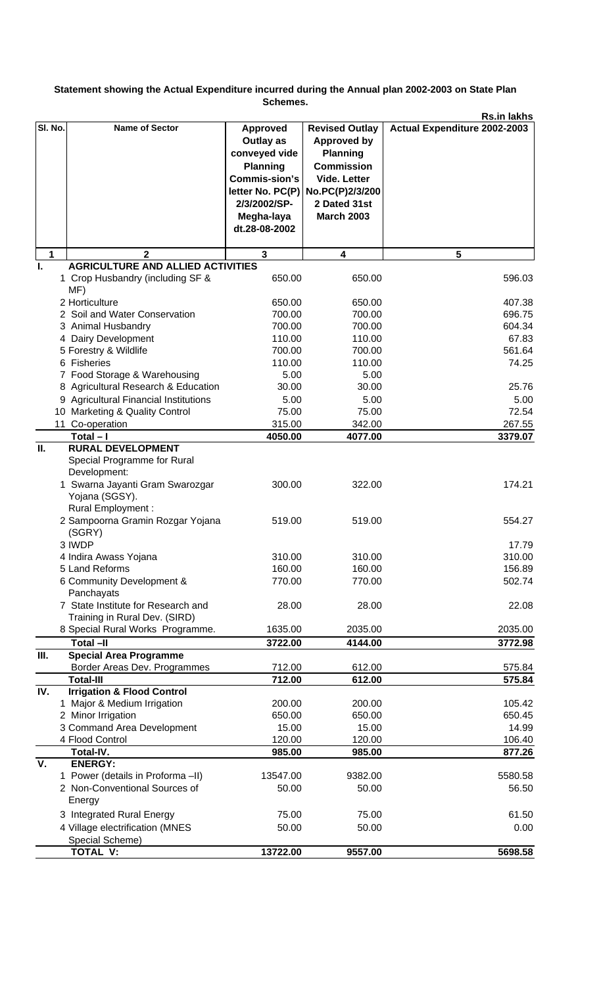## **Statement showing the Actual Expenditure incurred during the Annual plan 2002-2003 on State Plan Schemes.**

|         |                                                                                                                                                                                                                           |                                                                                                                                         |                                                                                                                                                                               | <b>Rs.in lakhs</b>                            |
|---------|---------------------------------------------------------------------------------------------------------------------------------------------------------------------------------------------------------------------------|-----------------------------------------------------------------------------------------------------------------------------------------|-------------------------------------------------------------------------------------------------------------------------------------------------------------------------------|-----------------------------------------------|
| SI. No. | <b>Name of Sector</b>                                                                                                                                                                                                     | <b>Approved</b><br>Outlay as<br>conveyed vide<br><b>Planning</b><br><b>Commis-sion's</b><br>2/3/2002/SP-<br>Megha-laya<br>dt.28-08-2002 | <b>Revised Outlay</b><br><b>Approved by</b><br><b>Planning</b><br><b>Commission</b><br>Vide. Letter<br>letter No. PC(P) No. PC(P)2/3/200<br>2 Dated 31st<br><b>March 2003</b> | Actual Expenditure 2002-2003                  |
| 1       | $\mathbf 2$                                                                                                                                                                                                               | $\mathbf{3}$                                                                                                                            | 4                                                                                                                                                                             | 5                                             |
|         | <b>AGRICULTURE AND ALLIED ACTIVITIES</b>                                                                                                                                                                                  |                                                                                                                                         |                                                                                                                                                                               |                                               |
|         | 1 Crop Husbandry (including SF &<br>MF)                                                                                                                                                                                   | 650.00                                                                                                                                  | 650.00                                                                                                                                                                        | 596.03                                        |
|         | 2 Horticulture                                                                                                                                                                                                            | 650.00                                                                                                                                  | 650.00                                                                                                                                                                        | 407.38                                        |
|         | 2 Soil and Water Conservation                                                                                                                                                                                             | 700.00                                                                                                                                  | 700.00                                                                                                                                                                        | 696.75                                        |
|         | 3 Animal Husbandry                                                                                                                                                                                                        | 700.00                                                                                                                                  | 700.00                                                                                                                                                                        | 604.34                                        |
|         | 4 Dairy Development                                                                                                                                                                                                       | 110.00                                                                                                                                  | 110.00                                                                                                                                                                        | 67.83                                         |
|         | 5 Forestry & Wildlife                                                                                                                                                                                                     | 700.00                                                                                                                                  | 700.00                                                                                                                                                                        | 561.64                                        |
|         | 6 Fisheries                                                                                                                                                                                                               | 110.00                                                                                                                                  | 110.00                                                                                                                                                                        | 74.25                                         |
|         | 7 Food Storage & Warehousing                                                                                                                                                                                              | 5.00                                                                                                                                    | 5.00                                                                                                                                                                          |                                               |
|         | 8 Agricultural Research & Education                                                                                                                                                                                       | 30.00                                                                                                                                   | 30.00<br>5.00                                                                                                                                                                 | 25.76                                         |
|         | 9 Agricultural Financial Institutions<br>10 Marketing & Quality Control                                                                                                                                                   | 5.00<br>75.00                                                                                                                           | 75.00                                                                                                                                                                         | 5.00<br>72.54                                 |
|         | 11 Co-operation                                                                                                                                                                                                           | 315.00                                                                                                                                  | 342.00                                                                                                                                                                        | 267.55                                        |
|         | $Total - I$                                                                                                                                                                                                               | 4050.00                                                                                                                                 | 4077.00                                                                                                                                                                       | 3379.07                                       |
| II.     | <b>RURAL DEVELOPMENT</b>                                                                                                                                                                                                  |                                                                                                                                         |                                                                                                                                                                               |                                               |
|         | Special Programme for Rural<br>Development:<br>1 Swarna Jayanti Gram Swarozgar<br>Yojana (SGSY).<br>Rural Employment :<br>2 Sampoorna Gramin Rozgar Yojana<br>(SGRY)<br>3 IWDP<br>4 Indira Awass Yojana<br>5 Land Reforms | 300.00<br>519.00<br>310.00<br>160.00                                                                                                    | 322.00<br>519.00<br>310.00<br>160.00                                                                                                                                          | 174.21<br>554.27<br>17.79<br>310.00<br>156.89 |
|         | 6 Community Development &                                                                                                                                                                                                 | 770.00                                                                                                                                  | 770.00                                                                                                                                                                        | 502.74                                        |
|         | Panchayats                                                                                                                                                                                                                |                                                                                                                                         |                                                                                                                                                                               |                                               |
|         | 7 State Institute for Research and<br>Training in Rural Dev. (SIRD)                                                                                                                                                       | 28.00                                                                                                                                   | 28.00                                                                                                                                                                         | 22.08                                         |
|         | 8 Special Rural Works Programme.                                                                                                                                                                                          | 1635.00                                                                                                                                 | 2035.00                                                                                                                                                                       | 2035.00                                       |
|         | <b>Total -II</b>                                                                                                                                                                                                          | 3722.00                                                                                                                                 | 4144.00                                                                                                                                                                       | 3772.98                                       |
| III.    | <b>Special Area Programme</b>                                                                                                                                                                                             |                                                                                                                                         |                                                                                                                                                                               |                                               |
|         | Border Areas Dev. Programmes                                                                                                                                                                                              | 712.00                                                                                                                                  | 612.00                                                                                                                                                                        | 575.84                                        |
|         | <b>Total-III</b>                                                                                                                                                                                                          | 712.00                                                                                                                                  | 612.00                                                                                                                                                                        | 575.84                                        |
| IV.     | <b>Irrigation &amp; Flood Control</b><br>1 Major & Medium Irrigation                                                                                                                                                      | 200.00                                                                                                                                  | 200.00                                                                                                                                                                        | 105.42                                        |
|         | 2 Minor Irrigation                                                                                                                                                                                                        | 650.00                                                                                                                                  | 650.00                                                                                                                                                                        | 650.45                                        |
|         | 3 Command Area Development                                                                                                                                                                                                | 15.00                                                                                                                                   | 15.00                                                                                                                                                                         | 14.99                                         |
|         | 4 Flood Control                                                                                                                                                                                                           | 120.00                                                                                                                                  | 120.00                                                                                                                                                                        | 106.40                                        |
|         | Total-IV.                                                                                                                                                                                                                 | 985.00                                                                                                                                  | 985.00                                                                                                                                                                        | 877.26                                        |
| V.      | <b>ENERGY:</b>                                                                                                                                                                                                            |                                                                                                                                         |                                                                                                                                                                               |                                               |
|         | 1 Power (details in Proforma -II)<br>2 Non-Conventional Sources of<br>Energy                                                                                                                                              | 13547.00<br>50.00                                                                                                                       | 9382.00<br>50.00                                                                                                                                                              | 5580.58<br>56.50                              |
|         | 3 Integrated Rural Energy                                                                                                                                                                                                 | 75.00                                                                                                                                   | 75.00                                                                                                                                                                         | 61.50                                         |
|         | 4 Village electrification (MNES<br>Special Scheme)                                                                                                                                                                        | 50.00                                                                                                                                   | 50.00                                                                                                                                                                         | 0.00                                          |
|         | <b>TOTAL V:</b>                                                                                                                                                                                                           | 13722.00                                                                                                                                | 9557.00                                                                                                                                                                       | 5698.58                                       |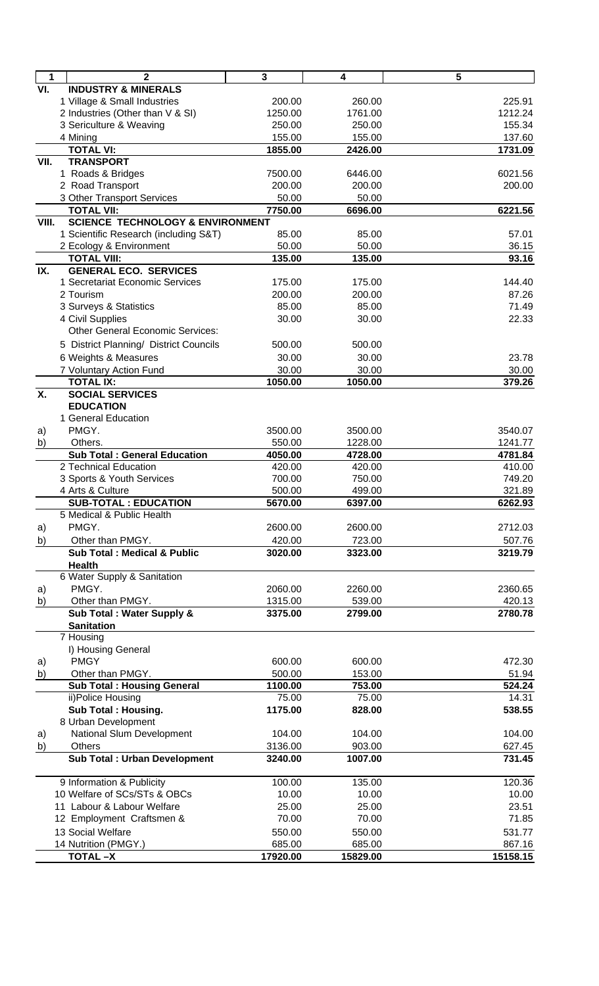| $\blacksquare$ | $\mathbf{2}$                                | $\mathbf{3}$ | 4        | 5        |
|----------------|---------------------------------------------|--------------|----------|----------|
| VI.            | <b>INDUSTRY &amp; MINERALS</b>              |              |          |          |
|                | 1 Village & Small Industries                | 200.00       | 260.00   | 225.91   |
|                | 2 Industries (Other than V & SI)            | 1250.00      | 1761.00  | 1212.24  |
|                | 3 Sericulture & Weaving                     | 250.00       | 250.00   | 155.34   |
|                | 4 Mining                                    | 155.00       | 155.00   | 137.60   |
|                | <b>TOTAL VI:</b>                            | 1855.00      | 2426.00  | 1731.09  |
| VII.           | <b>TRANSPORT</b>                            |              |          |          |
|                | 1 Roads & Bridges                           | 7500.00      | 6446.00  | 6021.56  |
|                | 2 Road Transport                            | 200.00       | 200.00   | 200.00   |
|                | 3 Other Transport Services                  | 50.00        | 50.00    |          |
|                | <b>TOTAL VII:</b>                           | 7750.00      | 6696.00  | 6221.56  |
| VIII.          | <b>SCIENCE TECHNOLOGY &amp; ENVIRONMENT</b> |              |          |          |
|                |                                             | 85.00        | 85.00    | 57.01    |
|                | 1 Scientific Research (including S&T)       |              |          |          |
|                | 2 Ecology & Environment                     | 50.00        | 50.00    | 36.15    |
|                | <b>TOTAL VIII:</b>                          | 135.00       | 135.00   | 93.16    |
| IX.            | <b>GENERAL ECO. SERVICES</b>                |              |          |          |
|                | 1 Secretariat Economic Services             | 175.00       | 175.00   | 144.40   |
|                | 2 Tourism                                   | 200.00       | 200.00   | 87.26    |
|                | 3 Surveys & Statistics                      | 85.00        | 85.00    | 71.49    |
|                | 4 Civil Supplies                            | 30.00        | 30.00    | 22.33    |
|                | <b>Other General Economic Services:</b>     |              |          |          |
|                | 5 District Planning/ District Councils      | 500.00       | 500.00   |          |
|                | 6 Weights & Measures                        | 30.00        | 30.00    | 23.78    |
|                | 7 Voluntary Action Fund                     | 30.00        | 30.00    | 30.00    |
|                | <b>TOTAL IX:</b>                            | 1050.00      | 1050.00  | 379.26   |
| Χ.             | <b>SOCIAL SERVICES</b>                      |              |          |          |
|                | <b>EDUCATION</b>                            |              |          |          |
|                | 1 General Education                         |              |          |          |
| a)             | PMGY.                                       | 3500.00      | 3500.00  | 3540.07  |
| b)             | Others.                                     | 550.00       | 1228.00  | 1241.77  |
|                | <b>Sub Total: General Education</b>         | 4050.00      | 4728.00  | 4781.84  |
|                | 2 Technical Education                       | 420.00       | 420.00   | 410.00   |
|                | 3 Sports & Youth Services                   | 700.00       | 750.00   | 749.20   |
|                | 4 Arts & Culture                            | 500.00       | 499.00   | 321.89   |
|                | <b>SUB-TOTAL: EDUCATION</b>                 | 5670.00      | 6397.00  | 6262.93  |
|                | 5 Medical & Public Health                   |              |          |          |
| a)             | PMGY.                                       | 2600.00      | 2600.00  | 2712.03  |
|                |                                             |              |          |          |
| b)             | Other than PMGY.                            | 420.00       | 723.00   | 507.76   |
|                | <b>Sub Total: Medical &amp; Public</b>      | 3020.00      | 3323.00  | 3219.79  |
|                | <b>Health</b>                               |              |          |          |
|                | 6 Water Supply & Sanitation                 |              |          |          |
| a)             | PMGY.                                       | 2060.00      | 2260.00  | 2360.65  |
| b)             | Other than PMGY.                            | 1315.00      | 539.00   | 420.13   |
|                | Sub Total : Water Supply &                  | 3375.00      | 2799.00  | 2780.78  |
|                | <b>Sanitation</b>                           |              |          |          |
|                | 7 Housing                                   |              |          |          |
|                | I) Housing General                          |              |          |          |
| a)             | <b>PMGY</b>                                 | 600.00       | 600.00   | 472.30   |
| $\mathsf{b}$   | Other than PMGY.                            | 500.00       | 153.00   | 51.94    |
|                | <b>Sub Total : Housing General</b>          | 1100.00      | 753.00   | 524.24   |
|                | ii)Police Housing                           | 75.00        | 75.00    | 14.31    |
|                | <b>Sub Total: Housing.</b>                  | 1175.00      | 828.00   | 538.55   |
|                | 8 Urban Development                         |              |          |          |
| a)             | National Slum Development                   | 104.00       | 104.00   | 104.00   |
| b)             | Others                                      | 3136.00      | 903.00   | 627.45   |
|                | <b>Sub Total : Urban Development</b>        | 3240.00      | 1007.00  | 731.45   |
|                |                                             |              |          |          |
|                | 9 Information & Publicity                   | 100.00       | 135.00   | 120.36   |
|                | 10 Welfare of SCs/STs & OBCs                | 10.00        | 10.00    | 10.00    |
|                | 11 Labour & Labour Welfare                  | 25.00        | 25.00    | 23.51    |
|                | 12 Employment Craftsmen &                   | 70.00        | 70.00    | 71.85    |
|                |                                             |              |          |          |
|                | 13 Social Welfare                           | 550.00       | 550.00   | 531.77   |
|                | 14 Nutrition (PMGY.)                        | 685.00       | 685.00   | 867.16   |
|                | <b>TOTAL-X</b>                              | 17920.00     | 15829.00 | 15158.15 |